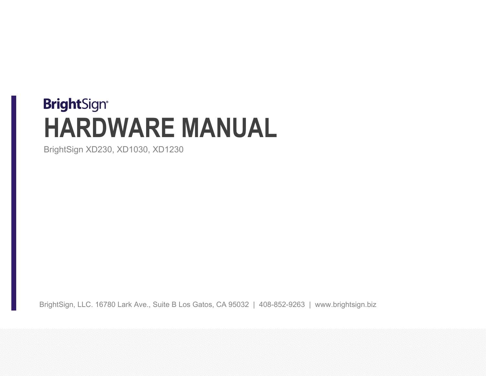# **BrightSign® HARDWARE MANUAL**

BrightSign XD230, XD1030, XD1230

BrightSign, LLC. 16780 Lark Ave., Suite B Los Gatos, CA 95032 | 408-852-9263 | www.brightsign.biz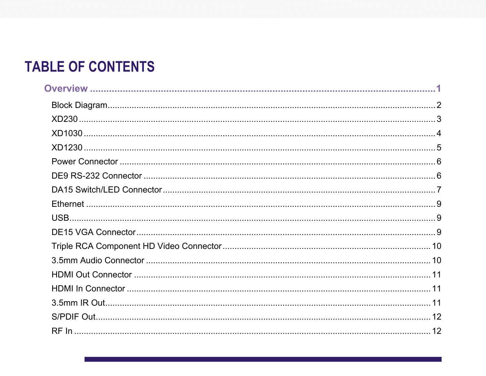# **TABLE OF CONTENTS**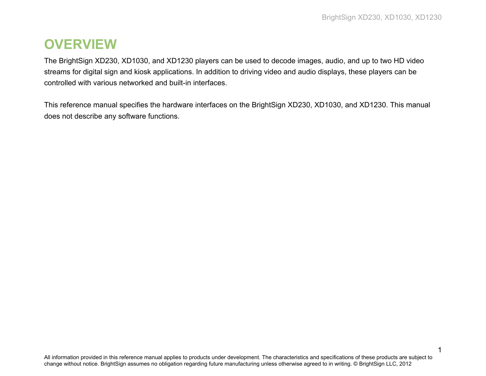1

## <span id="page-3-0"></span>**OVERVIEW**

The BrightSign XD230, XD1030, and XD1230 players can be used to decode images, audio, and up to two HD video streams for digital sign and kiosk applications. In addition to driving video and audio displays, these players can be controlled with various networked and built-in interfaces.

This reference manual specifies the hardware interfaces on the BrightSign XD230, XD1030, and XD1230. This manual does not describe any software functions.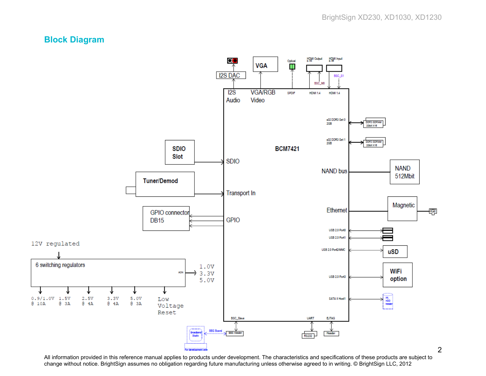#### <span id="page-4-0"></span>**Block Diagram**



All information provided in this reference manual applies to products under development. The characteristics and specifications of these products are subject to change without notice. BrightSign assumes no obligation regarding future manufacturing unless otherwise agreed to in writing. © BrightSign LLC, 2012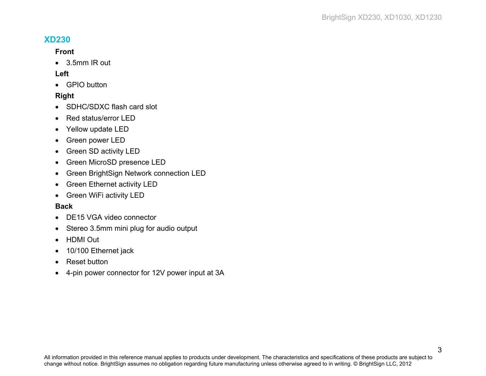#### <span id="page-5-0"></span>**XD230**

#### **Front**

• 3.5mm IR out

#### **Left**

• GPIO button

#### **Right**

- SDHC/SDXC flash card slot
- Red status/error LED
- Yellow update LED
- Green power LED
- Green SD activity LED
- Green MicroSD presence LED
- Green BrightSign Network connection LED
- Green Ethernet activity LED
- Green WiFi activity LED

#### **Back**

- DE15 VGA video connector
- Stereo 3.5mm mini plug for audio output
- HDMI Out
- 10/100 Ethernet jack
- Reset button
- 4-pin power connector for 12V power input at 3A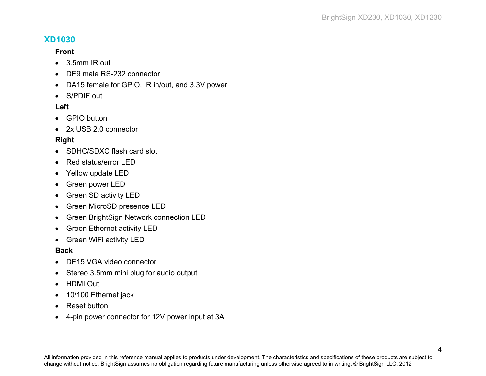#### <span id="page-6-0"></span>**XD1030**

#### **Front**

- 3.5mm IR out
- DE9 male RS-232 connector
- DA15 female for GPIO, IR in/out, and 3.3V power
- S/PDIF out

#### **Left**

- GPIO button
- 2x USB 2.0 connector

#### **Right**

- SDHC/SDXC flash card slot
- Red status/error LED
- Yellow update LED
- Green power LED
- Green SD activity LED
- Green MicroSD presence LED
- Green BrightSign Network connection LED
- Green Ethernet activity LED
- Green WiFi activity LED

#### **Back**

- DE15 VGA video connector
- Stereo 3.5mm mini plug for audio output
- HDMI Out
- 10/100 Ethernet jack
- Reset button
- 4-pin power connector for 12V power input at 3A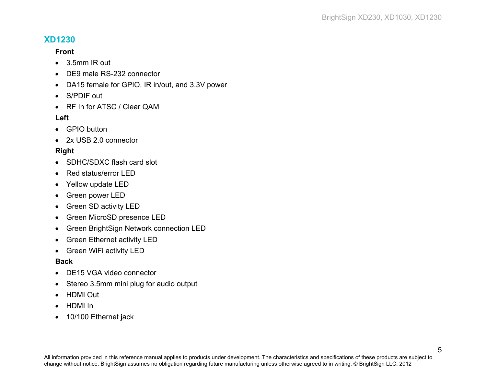#### <span id="page-7-0"></span>**XD1230**

#### **Front**

- 3.5mm IR out
- DE9 male RS-232 connector
- DA15 female for GPIO, IR in/out, and 3.3V power
- S/PDIF out
- RF In for ATSC / Clear QAM

#### **Left**

- GPIO button
- 2x USB 2.0 connector

#### **Right**

- SDHC/SDXC flash card slot
- Red status/error LED
- Yellow update LED
- Green power LED
- Green SD activity LED
- Green MicroSD presence LED
- Green BrightSign Network connection LED
- Green Ethernet activity LED
- Green WiFi activity LED

#### **Back**

- DE15 VGA video connector
- Stereo 3.5mm mini plug for audio output
- HDMI Out
- HDMI In
- 10/100 Ethernet jack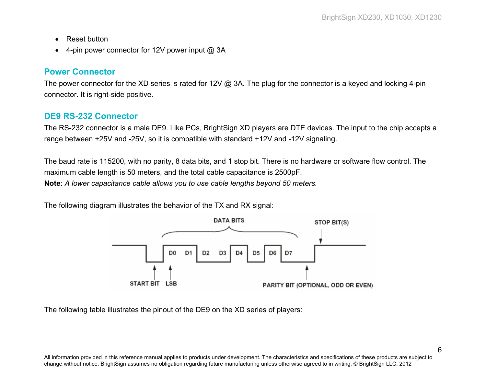- Reset button
- 4-pin power connector for 12V power input @ 3A

#### <span id="page-8-0"></span>**Power Connector**

The power connector for the XD series is rated for 12V @ 3A. The plug for the connector is a keyed and locking 4-pin connector. It is right-side positive.

#### <span id="page-8-1"></span>**DE9 RS-232 Connector**

The RS-232 connector is a male DE9. Like PCs, BrightSign XD players are DTE devices. The input to the chip accepts a range between +25V and -25V, so it is compatible with standard +12V and -12V signaling.

The baud rate is 115200, with no parity, 8 data bits, and 1 stop bit. There is no hardware or software flow control. The maximum cable length is 50 meters, and the total cable capacitance is 2500pF. **Note**: *A lower capacitance cable allows you to use cable lengths beyond 50 meters.*

The following diagram illustrates the behavior of the TX and RX signal:



The following table illustrates the pinout of the DE9 on the XD series of players: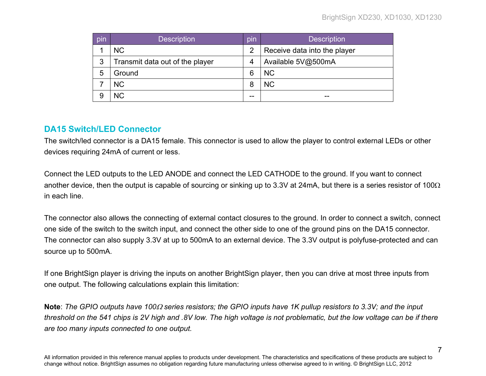| pin                                  | <b>Description</b> | pin            | <b>Description</b>           |
|--------------------------------------|--------------------|----------------|------------------------------|
|                                      | <b>NC</b>          | $\overline{2}$ | Receive data into the player |
| 3<br>Transmit data out of the player |                    | 4              | Available 5V@500mA           |
| 5                                    | Ground             | 6              | <b>NC</b>                    |
|                                      | <b>NC</b>          | 8              | <b>NC</b>                    |
|                                      | <b>NC</b>          | --             |                              |

#### <span id="page-9-0"></span>**DA15 Switch/LED Connector**

The switch/led connector is a DA15 female. This connector is used to allow the player to control external LEDs or other devices requiring 24mA of current or less.

Connect the LED outputs to the LED ANODE and connect the LED CATHODE to the ground. If you want to connect another device, then the output is capable of sourcing or sinking up to 3.3V at 24mA, but there is a series resistor of 100Ω in each line.

The connector also allows the connecting of external contact closures to the ground. In order to connect a switch, connect one side of the switch to the switch input, and connect the other side to one of the ground pins on the DA15 connector. The connector can also supply 3.3V at up to 500mA to an external device. The 3.3V output is polyfuse-protected and can source up to 500mA.

If one BrightSign player is driving the inputs on another BrightSign player, then you can drive at most three inputs from one output. The following calculations explain this limitation:

**Note**: *The GPIO outputs have 100*<sup>Ω</sup> *series resistors; the GPIO inputs have 1K pullup resistors to 3.3V; and the input threshold on the 541 chips is 2V high and .8V low. The high voltage is not problematic, but the low voltage can be if there are too many inputs connected to one output.*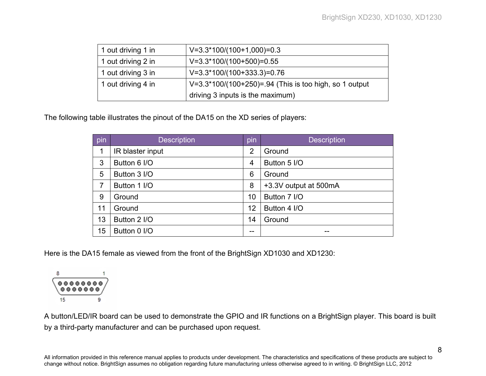| 1 out driving 1 in | $V=3.3*100/(100+1,000)=0.3$                            |
|--------------------|--------------------------------------------------------|
| 1 out driving 2 in | $V=3.3*100/(100+500)=0.55$                             |
| 1 out driving 3 in | $V=3.3*100/(100+333.3)=0.76$                           |
| 1 out driving 4 in | V=3.3*100/(100+250)=.94 (This is too high, so 1 output |
|                    | driving 3 inputs is the maximum)                       |

The following table illustrates the pinout of the DA15 on the XD series of players:

| pin | <b>Description</b> | pin | <b>Description</b>    |
|-----|--------------------|-----|-----------------------|
|     | IR blaster input   | 2   | Ground                |
| 3   | Button 6 I/O       | 4   | Button 5 I/O          |
| 5   | Button 3 I/O       | 6   | Ground                |
| 7   | Button 1 I/O       | 8   | +3.3V output at 500mA |
| 9   | Ground             | 10  | Button 7 I/O          |
| 11  | Ground             | 12  | Button 4 I/O          |
| 13  | Button 2 I/O       | 14  | Ground                |
| 15  | Button 0 I/O       |     |                       |

Here is the DA15 female as viewed from the front of the BrightSign XD1030 and XD1230:



A button/LED/IR board can be used to demonstrate the GPIO and IR functions on a BrightSign player. This board is built by a third-party manufacturer and can be purchased upon request.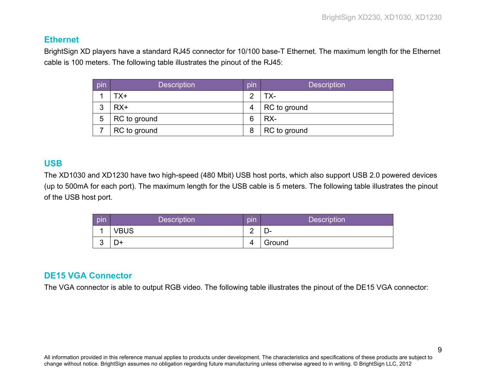#### <span id="page-11-0"></span>**Ethernet**

BrightSign XD players have a standard RJ45 connector for 10/100 base-T Ethernet. The maximum length for the Ethernet cable is 100 meters. The following table illustrates the pinout of the RJ45:

| pin               | <b>Description</b> | pin           | <b>Description</b> |  |
|-------------------|--------------------|---------------|--------------------|--|
| TX+               |                    | $\mathcal{P}$ | TX-                |  |
| 3<br>$RX+$        |                    | 4             | RC to ground       |  |
| 5<br>RC to ground |                    | 6             | RX-                |  |
| RC to ground      |                    | 8             | RC to ground       |  |

#### <span id="page-11-1"></span>**USB**

The XD1030 and XD1230 have two high-speed (480 Mbit) USB host ports, which also support USB 2.0 powered devices (up to 500mA for each port). The maximum length for the USB cable is 5 meters. The following table illustrates the pinout of the USB host port.

| pin        | <b>Description</b> | pin | <b>Description</b> |
|------------|--------------------|-----|--------------------|
|            | <b>VBUS</b>        | ⌒   | − ∪                |
| $\sqrt{2}$ | D+                 | 4   | Ground             |

#### <span id="page-11-2"></span>**DE15 VGA Connector**

The VGA connector is able to output RGB video. The following table illustrates the pinout of the DE15 VGA connector: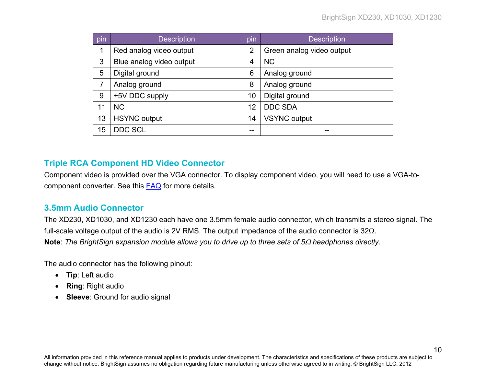| pin                 | <b>Description</b>       | pin | <b>Description</b>        |
|---------------------|--------------------------|-----|---------------------------|
| 1                   | Red analog video output  | 2   | Green analog video output |
| 3                   | Blue analog video output |     | <b>NC</b>                 |
| 5<br>Digital ground |                          | 6   | Analog ground             |
| 7                   | Analog ground            | 8   | Analog ground             |
| 9                   | +5V DDC supply           | 10  | Digital ground            |
| 11                  | <b>NC</b>                | 12  | <b>DDC SDA</b>            |
| 13                  | <b>HSYNC</b> output      | 14  | <b>VSYNC</b> output       |
| 15                  | <b>DDC SCL</b>           | --  | --                        |

#### <span id="page-12-0"></span>**Triple RCA Component HD Video Connector**

Component video is provided over the VGA connector. To display component video, you will need to use a VGA-tocomponent converter. See this [FAQ](http://support.brightsign.biz/entries/22929977-Can-I-use-component-and-composite-video-with-BrightSign-players-) for more details.

#### <span id="page-12-1"></span>**3.5mm Audio Connector**

The XD230, XD1030, and XD1230 each have one 3.5mm female audio connector, which transmits a stereo signal. The full-scale voltage output of the audio is 2V RMS. The output impedance of the audio connector is 32Ω. **Note**: *The BrightSign expansion module allows you to drive up to three sets of 5*<sup>Ω</sup> *headphones directly.*

The audio connector has the following pinout:

- **Tip**: Left audio
- **Ring**: Right audio
- **Sleeve**: Ground for audio signal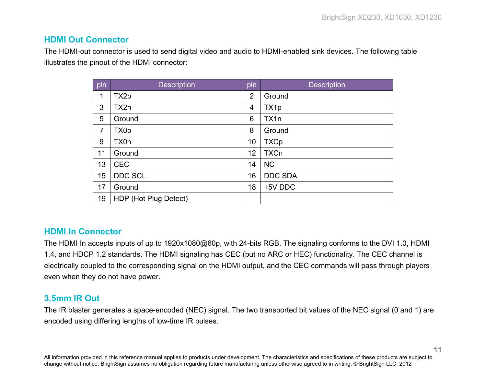11

#### <span id="page-13-0"></span>**HDMI Out Connector**

The HDMI-out connector is used to send digital video and audio to HDMI-enabled sink devices. The following table illustrates the pinout of the HDMI connector:

| pin            | <b>Description</b>    | pin | <b>Description</b> |
|----------------|-----------------------|-----|--------------------|
| 1              | TX <sub>2p</sub>      | 2   | Ground             |
| 3              | TX2n                  | 4   | TX1p               |
| 5              | Ground                | 6   | TX1n               |
| $\overline{7}$ | TX0p                  | 8   | Ground             |
| 9              | TX0n                  | 10  | <b>TXCp</b>        |
| 11             | Ground                | 12  | <b>TXCn</b>        |
| 13             | <b>CEC</b>            | 14  | <b>NC</b>          |
| 15             | DDC SCL               | 16  | <b>DDC SDA</b>     |
| 17             | Ground                | 18  | +5V DDC            |
| 19             | HDP (Hot Plug Detect) |     |                    |

#### <span id="page-13-1"></span>**HDMI In Connector**

The HDMI In accepts inputs of up to 1920x1080@60p, with 24-bits RGB. The signaling conforms to the DVI 1.0, HDMI 1.4, and HDCP 1.2 standards. The HDMI signaling has CEC (but no ARC or HEC) functionality. The CEC channel is electrically coupled to the corresponding signal on the HDMI output, and the CEC commands will pass through players even when they do not have power.

#### <span id="page-13-2"></span>**3.5mm IR Out**

The IR blaster generates a space-encoded (NEC) signal. The two transported bit values of the NEC signal (0 and 1) are encoded using differing lengths of low-time IR pulses.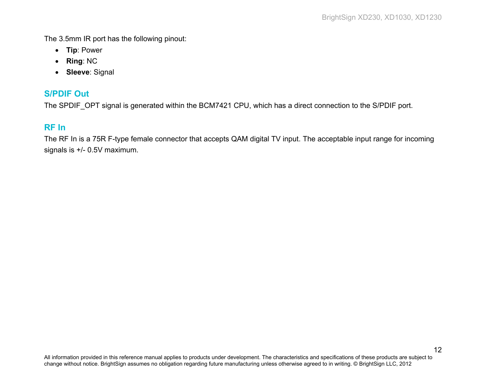The 3.5mm IR port has the following pinout:

- **Tip**: Power
- **Ring**: NC
- **Sleeve**: Signal

#### <span id="page-14-0"></span>**S/PDIF Out**

<span id="page-14-1"></span>The SPDIF\_OPT signal is generated within the BCM7421 CPU, which has a direct connection to the S/PDIF port.

#### **RF In**

The RF In is a 75R F-type female connector that accepts QAM digital TV input. The acceptable input range for incoming signals is +/- 0.5V maximum.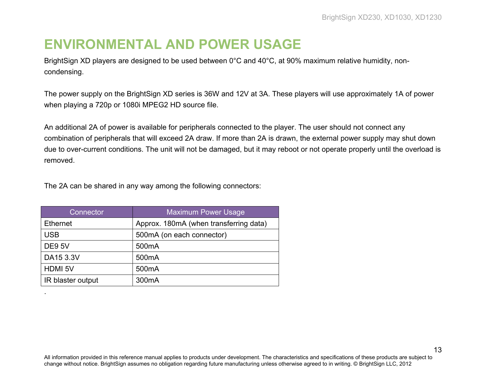# <span id="page-15-0"></span>**ENVIRONMENTAL AND POWER USAGE**

BrightSign XD players are designed to be used between 0°C and 40°C, at 90% maximum relative humidity, noncondensing.

The power supply on the BrightSign XD series is 36W and 12V at 3A. These players will use approximately 1A of power when playing a 720p or 1080i MPEG2 HD source file.

An additional 2A of power is available for peripherals connected to the player. The user should not connect any combination of peripherals that will exceed 2A draw. If more than 2A is drawn, the external power supply may shut down due to over-current conditions. The unit will not be damaged, but it may reboot or not operate properly until the overload is removed.

The 2A can be shared in any way among the following connectors:

| Connector         | <b>Maximum Power Usage</b>             |
|-------------------|----------------------------------------|
| <b>Ethernet</b>   | Approx. 180mA (when transferring data) |
| <b>USB</b>        | 500mA (on each connector)              |
| DE9 5V            | 500 <sub>m</sub> A                     |
| DA15 3.3V         | 500 <sub>m</sub> A                     |
| <b>HDMI5V</b>     | 500 <sub>m</sub> A                     |
| IR blaster output | 300 <sub>m</sub> A                     |

.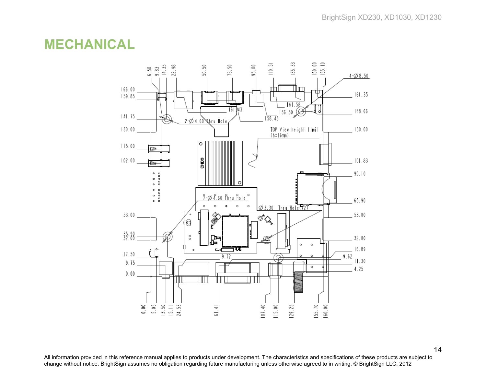### <span id="page-16-0"></span>**MECHANICAL**



All information provided in this reference manual applies to products under development. The characteristics and specifications of these products are subject to change without notice. BrightSign assumes no obligation regarding future manufacturing unless otherwise agreed to in writing. © BrightSign LLC, 2012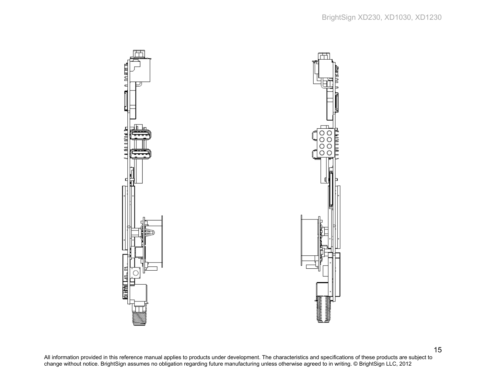



All information provided in this reference manual applies to products under development. The characteristics and specifications of these products are subject to change without notice. BrightSign assumes no obligation regarding future manufacturing unless otherwise agreed to in writing. © BrightSign LLC, 2012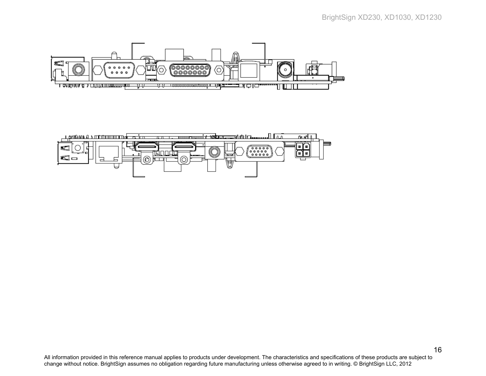

⊚

⊚

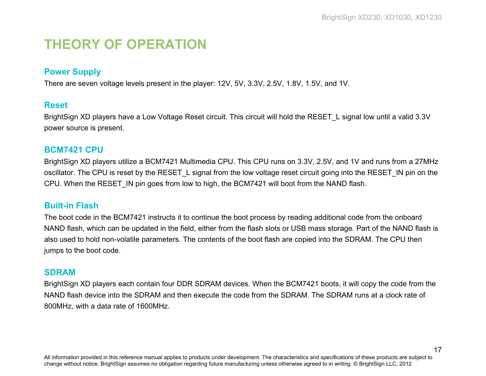# <span id="page-19-0"></span>**THEORY OF OPERATION**

#### <span id="page-19-1"></span>**Power Supply**

<span id="page-19-2"></span>There are seven voltage levels present in the player: 12V, 5V, 3.3V, 2.5V, 1.8V, 1.5V, and 1V.

#### **Reset**

BrightSign XD players have a Low Voltage Reset circuit. This circuit will hold the RESET L signal low until a valid 3.3V power source is present.

#### <span id="page-19-3"></span>**BCM7421 CPU**

BrightSign XD players utilize a BCM7421 Multimedia CPU. This CPU runs on 3.3V, 2.5V, and 1V and runs from a 27MHz oscillator. The CPU is reset by the RESET L signal from the low voltage reset circuit going into the RESET IN pin on the CPU. When the RESET\_IN pin goes from low to high, the BCM7421 will boot from the NAND flash.

#### <span id="page-19-4"></span>**Built-in Flash**

The boot code in the BCM7421 instructs it to continue the boot process by reading additional code from the onboard NAND flash, which can be updated in the field, either from the flash slots or USB mass storage. Part of the NAND flash is also used to hold non-volatile parameters. The contents of the boot flash are copied into the SDRAM. The CPU then jumps to the boot code.

#### <span id="page-19-5"></span>**SDRAM**

BrightSign XD players each contain four DDR SDRAM devices. When the BCM7421 boots, it will copy the code from the NAND flash device into the SDRAM and then execute the code from the SDRAM. The SDRAM runs at a clock rate of 800MHz, with a data rate of 1600MHz.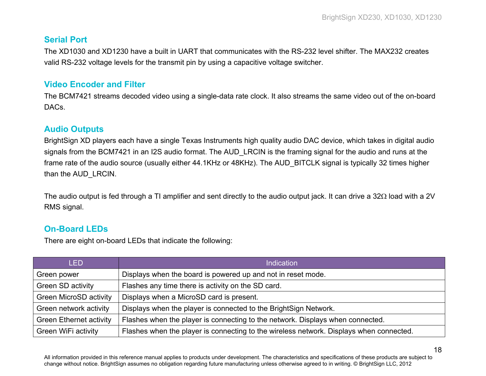#### <span id="page-20-0"></span>**Serial Port**

The XD1030 and XD1230 have a built in UART that communicates with the RS-232 level shifter. The MAX232 creates valid RS-232 voltage levels for the transmit pin by using a capacitive voltage switcher.

#### <span id="page-20-1"></span>**Video Encoder and Filter**

The BCM7421 streams decoded video using a single-data rate clock. It also streams the same video out of the on-board DACs.

#### <span id="page-20-2"></span>**Audio Outputs**

BrightSign XD players each have a single Texas Instruments high quality audio DAC device, which takes in digital audio signals from the BCM7421 in an I2S audio format. The AUD LRCIN is the framing signal for the audio and runs at the frame rate of the audio source (usually either 44.1KHz or 48KHz). The AUD\_BITCLK signal is typically 32 times higher than the AUD\_LRCIN.

The audio output is fed through a TI amplifier and sent directly to the audio output jack. It can drive a 32Ω load with a 2V RMS signal.

#### <span id="page-20-3"></span>**On-Board LEDs**

There are eight on-board LEDs that indicate the following:

| <b>LED</b>                     | <b>Indication</b>                                                                       |
|--------------------------------|-----------------------------------------------------------------------------------------|
| Green power                    | Displays when the board is powered up and not in reset mode.                            |
| Green SD activity              | Flashes any time there is activity on the SD card.                                      |
| <b>Green MicroSD activity</b>  | Displays when a MicroSD card is present.                                                |
| Green network activity         | Displays when the player is connected to the BrightSign Network.                        |
| <b>Green Ethernet activity</b> | Flashes when the player is connecting to the network. Displays when connected.          |
| Green WiFi activity            | Flashes when the player is connecting to the wireless network. Displays when connected. |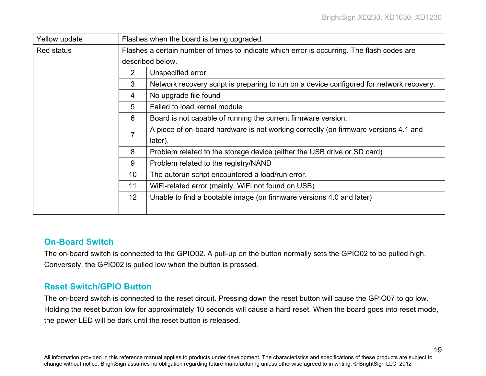19

| Yellow update                                                                | Flashes when the board is being upgraded.                                                   |                                                                                          |  |  |  |
|------------------------------------------------------------------------------|---------------------------------------------------------------------------------------------|------------------------------------------------------------------------------------------|--|--|--|
| <b>Red status</b>                                                            | Flashes a certain number of times to indicate which error is occurring. The flash codes are |                                                                                          |  |  |  |
|                                                                              |                                                                                             | described below.                                                                         |  |  |  |
|                                                                              | 2                                                                                           | Unspecified error                                                                        |  |  |  |
|                                                                              | 3                                                                                           | Network recovery script is preparing to run on a device configured for network recovery. |  |  |  |
|                                                                              | 4                                                                                           | No upgrade file found                                                                    |  |  |  |
|                                                                              | 5                                                                                           | Failed to load kernel module                                                             |  |  |  |
|                                                                              | Board is not capable of running the current firmware version.                               |                                                                                          |  |  |  |
|                                                                              |                                                                                             | A piece of on-board hardware is not working correctly (on firmware versions 4.1 and      |  |  |  |
|                                                                              | $\overline{7}$<br>later).                                                                   |                                                                                          |  |  |  |
| 8<br>Problem related to the storage device (either the USB drive or SD card) |                                                                                             |                                                                                          |  |  |  |
|                                                                              | 9                                                                                           | Problem related to the registry/NAND                                                     |  |  |  |
|                                                                              | 10<br>The autorun script encountered a load/run error.                                      |                                                                                          |  |  |  |
|                                                                              | 11<br>WiFi-related error (mainly, WiFi not found on USB)                                    |                                                                                          |  |  |  |
|                                                                              | Unable to find a bootable image (on firmware versions 4.0 and later)                        |                                                                                          |  |  |  |
|                                                                              |                                                                                             |                                                                                          |  |  |  |

#### <span id="page-21-0"></span>**On-Board Switch**

The on-board switch is connected to the GPIO02. A pull-up on the button normally sets the GPIO02 to be pulled high. Conversely, the GPIO02 is pulled low when the button is pressed.

#### <span id="page-21-1"></span>**Reset Switch/GPIO Button**

The on-board switch is connected to the reset circuit. Pressing down the reset button will cause the GPIO07 to go low. Holding the reset button low for approximately 10 seconds will cause a hard reset. When the board goes into reset mode, the power LED will be dark until the reset button is released.